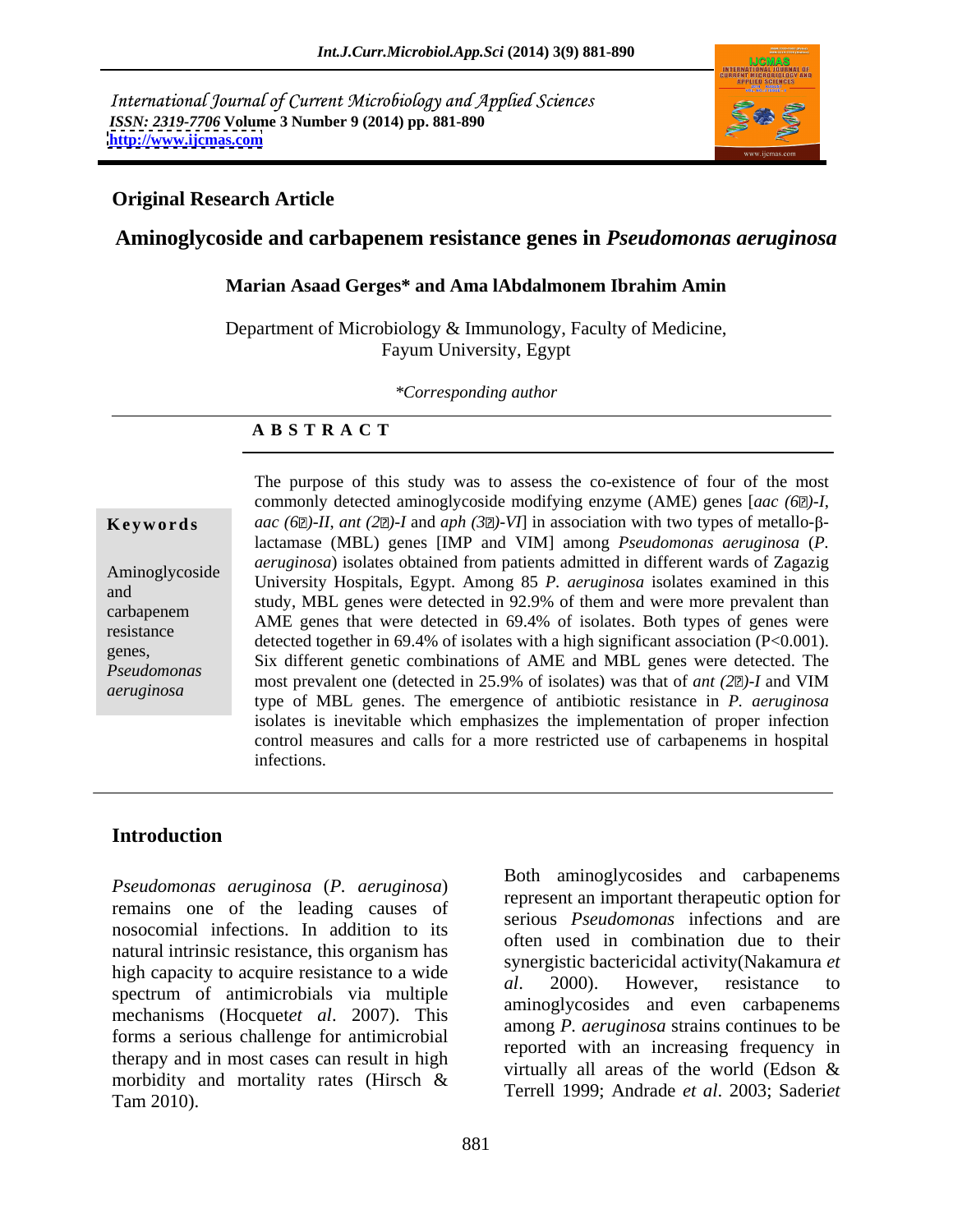International Journal of Current Microbiology and Applied Sciences *ISSN: 2319-7706* **Volume 3 Number 9 (2014) pp. 881-890 <http://www.ijcmas.com>**



### **Original Research Article**

### **Aminoglycoside and carbapenem resistance genes in** *Pseudomonas aeruginosa*

### **Marian Asaad Gerges\* and Ama lAbdalmonem Ibrahim Amin**

Department of Microbiology & Immunology, Faculty of Medicine, Fayum University, Egypt

*\*Corresponding author* 

### **A B S T R A C T**

**Keywords** *aac* (6 $\mathbb{Z}$ )-II, *ant* (2 $\mathbb{Z}$ )-I and *aph* (3 $\mathbb{Z}$ )-VI] in association with two types of metallo- $\beta$ -Aminoglycoside University Hospitals, Egypt. Among 85 *P. aeruginosa* isolates examined in this and study, MBL genes were detected in 92.9% of them and were more prevalent than carbapenem 3.000, MDL genes were detected in 52.5% of them and were more prevalent than<br>existence AME genes that were detected in 69.4% of isolates. Both types of genes were resistance<br>
detected together in 69.4% of isolates with a high significant association (P<0.001). genes,<br>Six different genetic combinations of AME and MBL genes were detected. The *Pseudomonas* most prevalent one (detected in 25.9% of isolates) was that of *ant* (2<sup>n</sup>)-I and VIM *aeruginosa* type of MBL genes. The emergence of antibiotic resistance in *P. aeruginosa* The purpose of this study was to assess the co-existence of four of the most commonly detected aminoglycosidemodifying enzyme (AME) genes [*aac (6 )-I*, lactamase (MBL) genes [IMP and VIM] among *Pseudomonas aeruginosa* (*P. aeruginosa*) isolates obtained from patients admitted in different wards of Zagazig isolates is inevitable which emphasizes the implementation of proper infection control measures and calls for a more restricted use of carbapenems in hospital infections.

## **Introduction**

*Pseudomonas aeruginosa* (*P. aeruginosa*) remains one of the leading causes of nosocomial infections. In addition to its natural intrinsic resistance, this organism has high capacity to acquire resistance to a wide<br>  $\begin{array}{ccc}\n & \text{synegistic bacterial activation,} \\
 & \text{a.} \\
\end{array}$ spectrum of antimicrobials via multiple mechanisms (Hocquet*et al*. 2007). This forms a serious challenge for antimicrobial therapy and in most cases can result in high morbidity and mortality rates (Hirsch & Tam 2010). Terrell 1999; Andrade *et al*. 2003; Saderi*et* 

Both aminoglycosides and carbapenems represent an important therapeutic option for serious *Pseudomonas* infections and are often used in combination due to their synergistic bactericidal activity(Nakamura *et al*. 2000). However, resistance to aminoglycosides and even carbapenems among *P. aeruginosa* strains continues to be reported with an increasing frequency in virtually all areas of the world (Edson &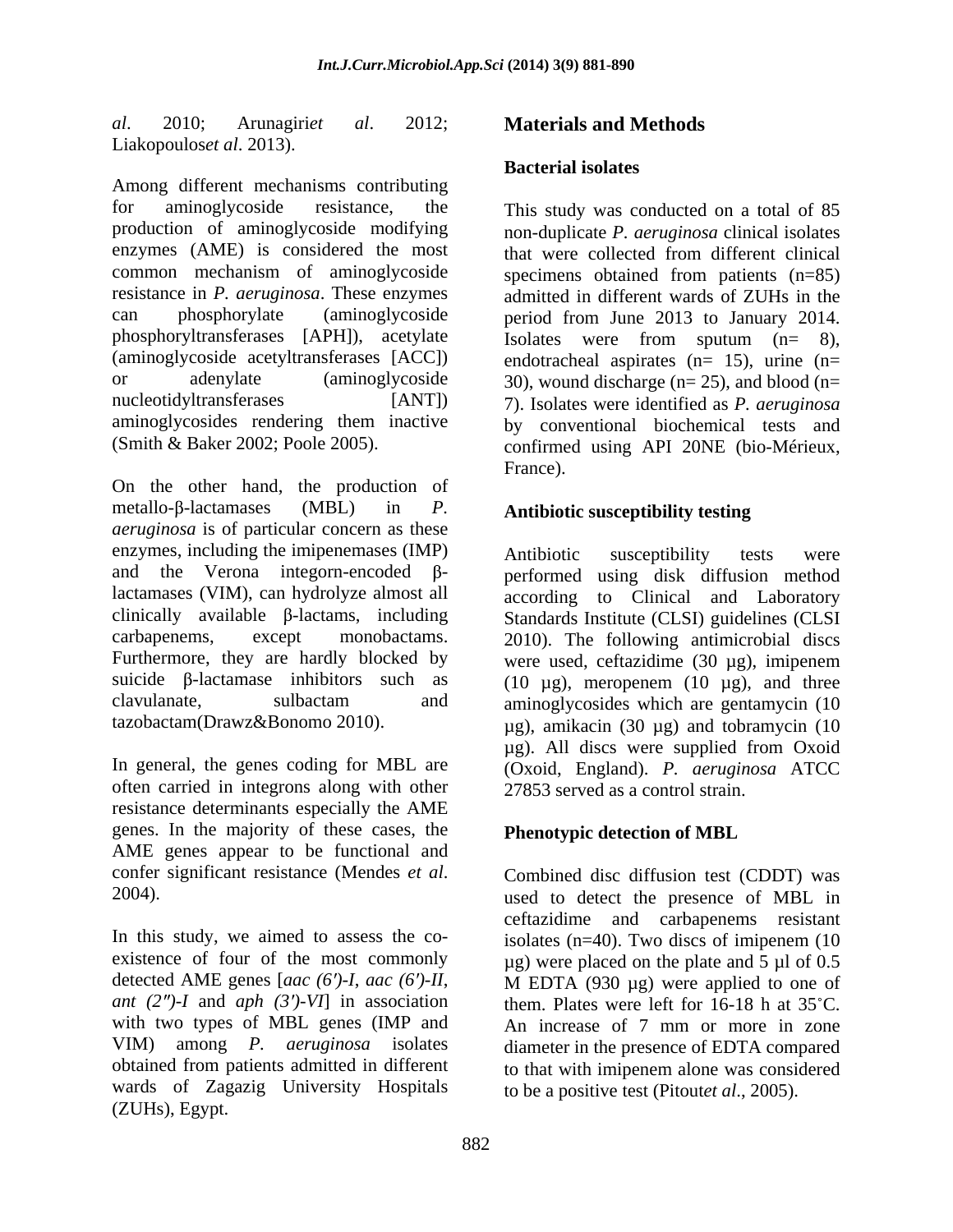*al*. 2010; Arunagiri*et al*. 2012; **Materials and Methods** Liakopoulos*et al*. 2013).

Among different mechanisms contributing for aminoglycoside resistance, the This study was conducted on a total of 85 production of aminoglycoside modifying non-duplicate *P. aeruginosa* clinical isolates enzymes (AME) is considered the most that were collected from different clinical common mechanism of aminoglycoside specimens obtained from patients (n=85) resistance in *P. aeruginosa*. These enzymes admitted in different wards of ZUHs in the can phosphorylate (aminoglycoside period from June 2013 to January 2014. phosphoryltransferases [APH]), acetylate Isolates were from sputum (n= 8), (aminoglycoside acetyltransferases [ACC]) endotracheal aspirates (n= 15), urine (n= or adenylate (aminoglycoside 30), wound discharge (n= 25), and blood (n= nucleotidyltransferases [ANT]) 7). Isolates were identified as *P. aeruginosa* aminoglycosides rendering them inactive by conventional biochemical tests and

On the other hand, the production of  $\text{metallo-}\beta\text{-}\text{lactamases}$  (MBL) in *P*. **Antibiotic susceptibility testing** *aeruginosa* is of particular concern as these enzymes, including the imipenemases (IMP) and the Verona integorn-encoded  $\beta$ - performed using disk diffusion method lactamases (VIM), can hydrolyze almost all clinically available  $\beta$ -lactams, including Standards Institute (CLSI) guidelines (CLSI) carbapenems, except monobactams. 2010). The following antimicrobial discs Furthermore, they are hardly blocked by were used, ceftazidime (30 µg), imipenem suicide  $\beta$ -lactamase inhibitors such as clavulanate, sulbactam and aminoglycosides which are gentamycin (10

often carried in integrons along with other resistance determinants especially the AME genes. In the majority of these cases, the **Phenotypic detection of MBL** AME genes appear to be functional and confer significant resistance (Mendes *et al.* Combined disc diffusion test (CDDT) was<br>2004).<br>wased to detect the presence of MBL in

In this study, we aimed to assess the co-<br>isolates  $(n=40)$ . Two discs of imipenem (10 existence of four of the most commonly  $\mu$ g) were placed on the plate and 5  $\mu$ l of 0.5 detected AME genes [*aac (6 )-I*, *aac (6 )-II*, M EDTA (930 µg) were applied to one of *ant*  $(2'')$ -*I* and *aph*  $(3')$ -*VI*] in association with two types of MBL genes (IMP and An increase of 7 mm or more in zone VIM) among *P. aeruginosa* isolates obtained from patients admitted in different to that with imipenem alone was considered wards of Zagazig University Hospitals (ZUHs), Egypt.

# **Bacterial isolates**

(Smith & Baker 2002; Poole 2005). confirmed using API 20NE (bio-Mérieux, specimens obtained from patients (n=85) France).

tazobactam(Drawz&Bonomo 2010). µg), amikacin (30 µg) and tobramycin (10 In general, the genes coding for MBL are (Oxoid, England). *P. aeruginosa* ATCC Antibiotic susceptibility tests were according to Clinical and Laboratory (10  $\mu$ g), meropenem (10  $\mu$ g), and three µg). All discs were supplied from Oxoid 27853 served as a control strain.

# **Phenotypic detection of MBL**

Combined disc diffusion test (CDDT) was used to detect the presence of MBL in ceftazidime and carbapenems resistant them. Plates were left for  $16-18$  h at  $35^{\circ}$ C. diameter in the presence of EDTA compared to be a positive test (Pitout*et al*., 2005).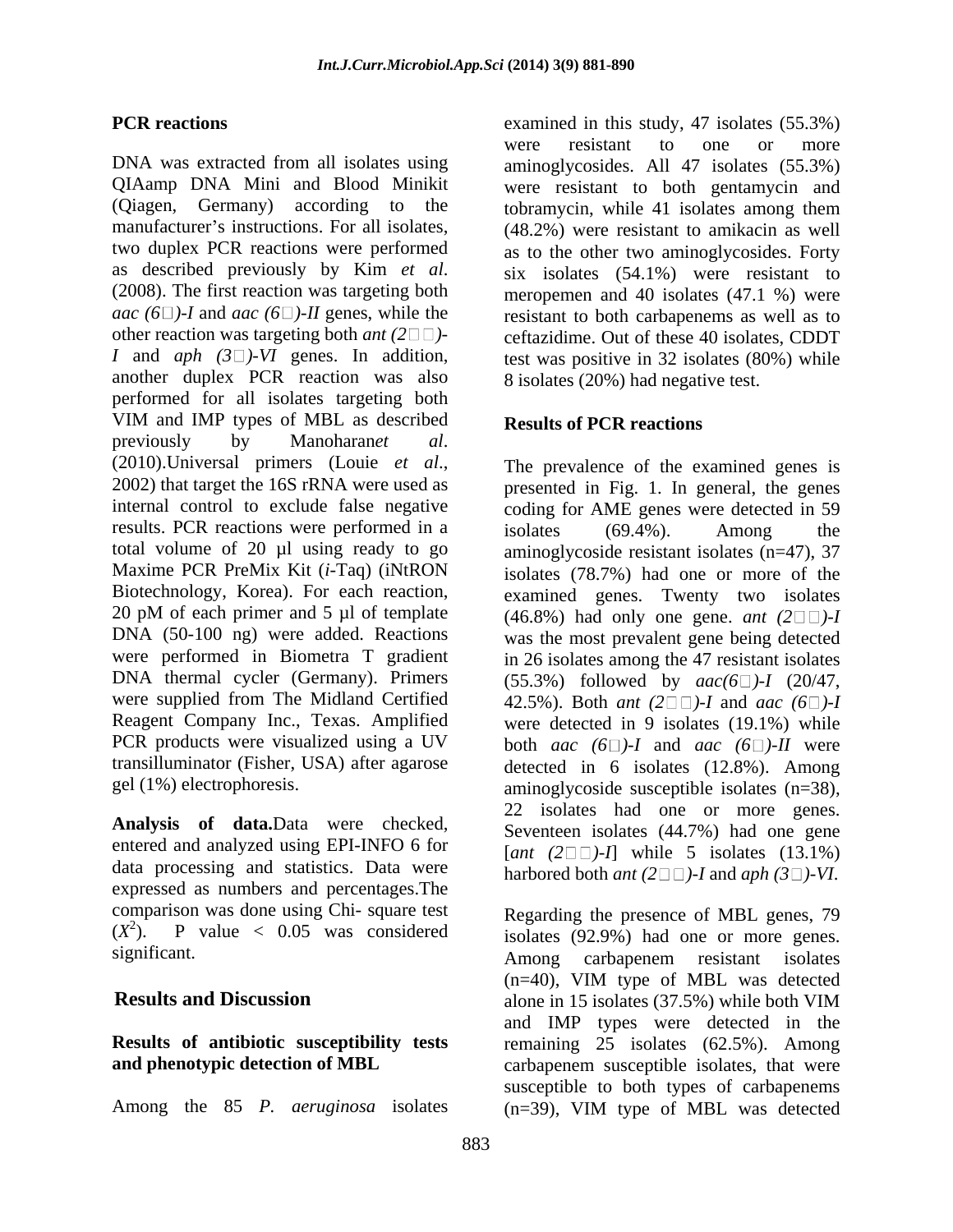QIAamp DNA Mini and Blood Minikit (Qiagen, Germany) according to the tobramycin, while 41 isolates among them other reaction was targeting both *ant*  $(2 \square \square)$ another duplex PCR reaction was also performed for all isolates targeting both VIM and IMP types of MBL as described **Results of PCR reactions** previously by Manoharan*et al*.<br>(2010).Universal primers (Louie *et al*., The prevalence of the examined genes is <br>2002) that target the 16S rRNA were used as presented in Fig. 1. In general, the genes internal control to exclude false negative coding for AME genes were detected in 59 results. PCR reactions were performed in a isolates (69.4%). Among the total volume of 20 µl using ready to go aminoglycoside resistant isolates (n=47), 37 Maxime PCR PreMix Kit (*i*-Taq) (iNtRON isolates (78.7%) had one or more of the Biotechnology, Korea). For each reaction, examined genes. Twenty two isolates 20 pM of each primer and 5 µl of template  $(46.8\%)$  had only one gene. *ant*  $(2\square \square)$ -I DNA (50-100 ng) were added. Reactions was the most prevalent gene being detected were performed in Biometra T gradient<br>DNA thermal cycler (Germany). Primers DNA thermal cycler (Germany). Primers  $(55.3\%)$  followed by  $aac(6\%)$ -*I* (20/47, were supplied from The Midland Certified  $42.5\%$ ). Both *ant*  $(2\Box\Box)$ -*I* and *aac*  $(6\Box)$ -*I* Reagent Company Inc., Texas. Amplified were detected in 9 isolates (19.1%) while PCR products were visualized using a UV both *aac*  $(6 \Box)$ -*I* and *aac*  $(6 \Box)$ -*II* were transilluminator (Fisher, USA) after agarose detected in 6 isolates (12.8%). Among

**Analysis of data.**Data were checked, entered and analyzed using EPI-INFO 6 for data processing and statistics. Data were expressed as numbers and percentages.The comparison was done using Chi- square test  $(X^2)$ . P value < 0.05 was considered

Among the 85 *P. aeruginosa* isolates

**PCR reactions** examined in this study, 47 isolates (55.3%) DNA was extracted from all isolates using aminoglycosides. All 47 isolates (55.3%) manufacturer's instructions. For all isolates, (48.2%) were resistant to amikacin as well two duplex PCR reactions were performed as to the other two aminoglycosides. Forty as described previously by Kim *et al*. six isolates (54.1%) were resistant to (2008). The first reaction was targeting both meropemen and 40 isolates (47.1 %) were *aac*  $(6 \Box)$ -*I* and *aac*  $(6 \Box)$ -*II* genes, while the resistant to both carbapenems as well as to *I* and *aph*  $(3\square)$ -V*I* genes. In addition, test was positive in 32 isolates (80%) while were resistant to one or more were resistant to both gentamycin and tobramycin, while 41 isolates among them six isolates (54.1%) were resistant to meropemen and 40 isolates (47.1 %) were ceftazidime. Out of these 40 isolates, CDDT 8 isolates (20%) had negative test.

## **Results of PCR reactions**

gel (1%) electrophoresis. aminoglycoside susceptible isolates (n=38), The prevalence of the examined genes is presented in Fig. 1. In general, the genes isolates (69.4%). Among the in 26 isolates among the 47 resistant isolates 22 isolates had one or more genes. Seventeen isolates (44.7%) had one gene  $[ant (2 \Box \Box) - I]$  while 5 isolates  $(13.1\%)$ harbored both *ant*  $(2 \square \square)$ -*I* and *aph*  $(3 \square)$ -VI.

 $(X^2)$ . P value < 0.05 was considered isolates  $(92.9\%)$  had one or more genes. significant. **Results and Discussion** alone in 15 isolates (37.5%) while both VIM **Results of antibiotic susceptibility tests** remaining 25 isolates (62.5%). Among **and phenotypic detection of MBL** carbapenem susceptible isolates, that were Regarding the presence of MBL genes, 79 Among carbapenem resistant isolates (n=40), VIM type of MBL was detected and IMP types were detected in the susceptible to both types of carbapenems (n=39), VIM type of MBL was detected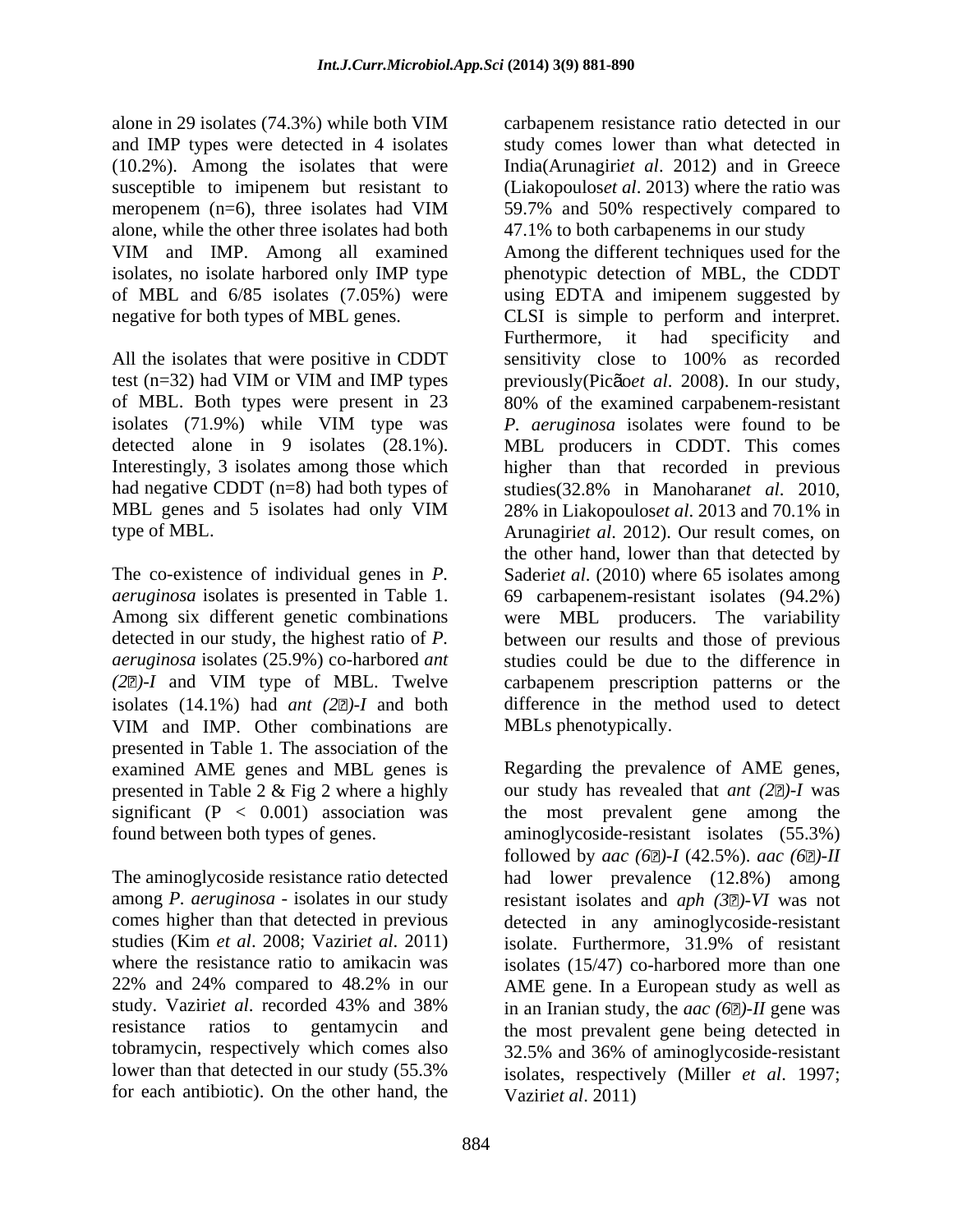alone in 29 isolates (74.3%) while both VIM carbapenem resistance ratio detected in our and IMP types were detected in 4 isolates (10.2%). Among the isolates that were alone, while the other three isolates had both

had negative CDDT (n=8) had both types of studies (32.8% in Manoharanet al. 2010,

detected in our study, the highest ratio of *P.*  VIM and IMP. Other combinations are MBLs phenotypically. presented in Table 1. The association of the examined AME genes and MBL genes is

studies (Kim *et al.* 2008; Vaziri*et al.* 2011) isolate. Furthermore, 31.9% of resistant lower than that detected in our study (55.3% for each antibiotic). On the other hand, the

susceptible to imipenem but resistant to (Liakopoulos*et al*. 2013) where the ratio was meropenem (n=6), three isolates had VIM 59.7% and 50% respectively compared to VIM and IMP. Among all examined isolates, no isolate harbored only IMP type phenotypic detection of MBL, the CDDT of MBL and 6/85 isolates (7.05%) were using EDTA and imipenem suggested by negative for both types of MBL genes. CLSI is simple to perform and interpret. All the isolates that were positive in CDDT sensitivity close to 100% as recorded test (n=32) had VIM or VIM and IMP types previously (Picão *et al.* 2008). In our study, of MBL. Both types were present in 23 80% of the examined carpabenem-resistant isolates (71.9%) while VIM type was *P. aeruginosa* isolates were found to be detected alone in 9 isolates (28.1%). MBL producers in CDDT. This comes Interestingly, 3 isolates among those which higher than that recorded in previous MBL genes and 5 isolates had only VIM 28% in Liakopouloset al. 2013 and 70.1% in type of MBL. Arunagiri*et al*. 2012). Our result comes, on The co-existence of individual genes in *P.*  Saderi*et al*. (2010) where 65 isolates among *aeruginosa* isolates is presented in Table 1. 69 carbapenem-resistant isolates (94.2%) Among six different genetic combinations were MBL producers. The variability *aeruginosa* isolates (25.9%) co-harbored *ant*  studies could be due to the difference in *(2 )-I* and VIM type of MBL. Twelve carbapenem prescription patterns or the isolates  $(14.1\%)$  had *ant*  $(2\mathbb{Z})$ -*I* and both difference in the method used to detect study comes lower than what detected in India(Arunagiri*et al*. 2012) and in Greece 59.7% and 50% respectively compared to 47.1% to both carbapenems in our study Among the different techniques used for the Furthermore, it had specificity and previously(Picão*et al*. 2008). In our study, studies(32.8% in Manoharan*et al*. 2010,28% in Liakopoulos*et al*. 2013 and 70.1% in the other hand, lower than that detected by between our results and those of previous MBLs phenotypically.

presented in Table 2 & Fig 2 where a highly our study has revealed that *ant* (2 $\mathbb{Z}$ )-I was significant (P < 0.001) association was the most prevalent gene among the found between both types of genes. aminoglycoside-resistant isolates (55.3%) The aminoglycoside resistance ratio detected had lower prevalence (12.8%) among among *P. aeruginosa -* isolates in our study resistant isolates and *aph (3 )-VI* was not comes higher than that detected in previous detected in any aminoglycoside-resistant where the resistance ratio to amikacin was isolates (15/47) co-harbored more than one 22% and 24% compared to 48.2% in our AME gene. In a European study as well as study. Vaziri*et al*. recorded 43% and 38% resistance ratios to gentamycin and the most prevalent gene being detected in tobramycin, respectively which comes also 32.5% and 36% of aminoglycoside-resistant Regarding the prevalence of AME genes, followed by *aac* (6 $\Box$ )-*I* (42.5%). *aac* (6 $\Box$ )-*II* isolate. Furthermore, 31.9% of resistant in an Iranian study, the *aac (6 )-II* gene was isolates, respectively (Miller *et al*. 1997; Vaziri*et al*. 2011)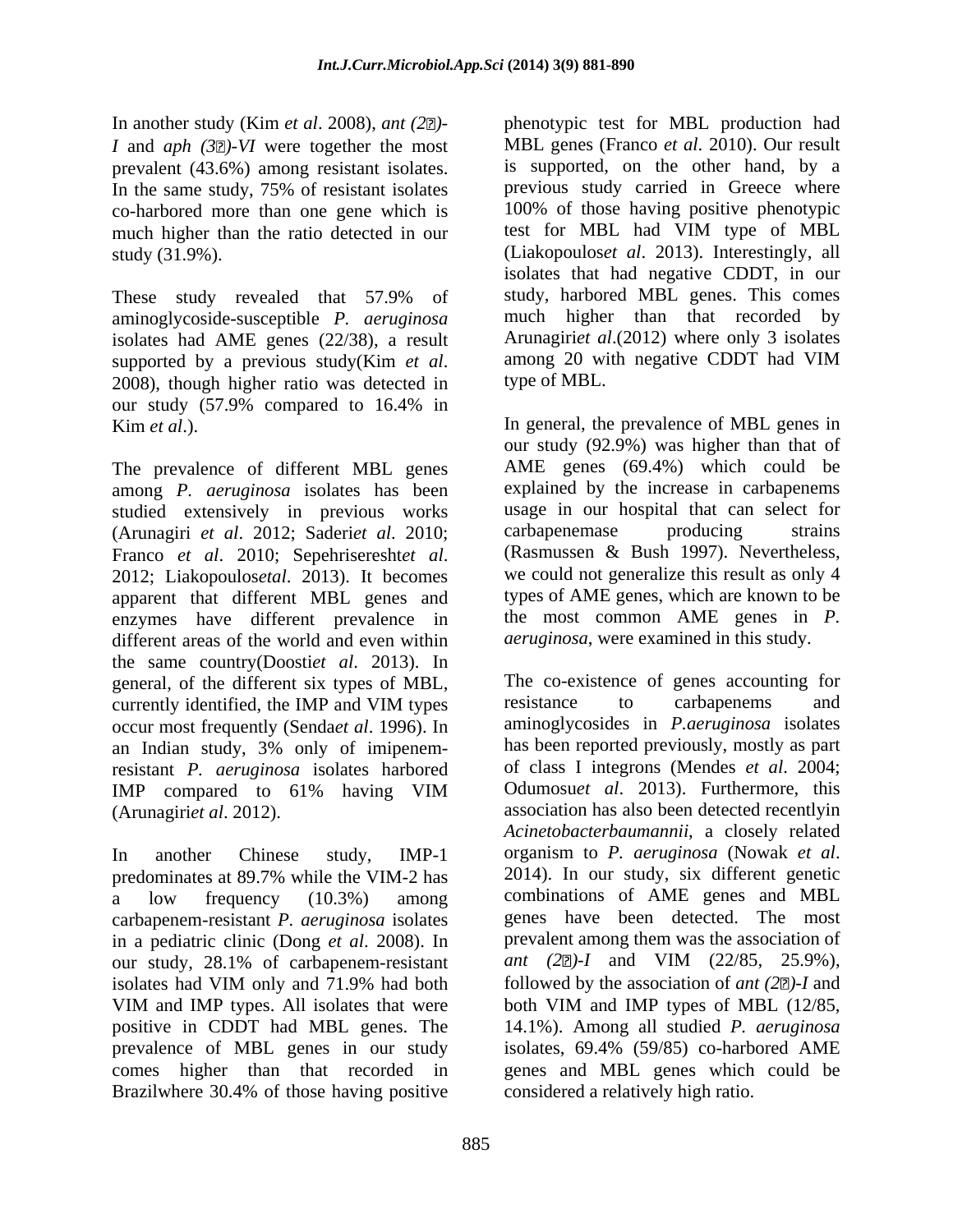In another study (Kim *et al*. 2008), *ant (2 )- I* and *aph* (3 $\mathbb{Z}$ )-*VI* were together the most prevalent (43.6%) among resistant isolates. In the same study, 75% of resistant isolates co-harbored more than one gene which is much higher than the ratio detected in our

These study revealed that 57.9% of aminoglycoside-susceptible *P. aeruginosa* isolates had AME genes  $(22/38)$ , a result<br>supported by a previous study(Kim *et al.* among 20 with negative CDDT had VIM supported by a previous study(Kim *et al.* among 20 with negative CDDT had VIM 2008), though higher ratio was detected in type of MBL. our study (57.9% compared to 16.4% in

The prevalence of different MBL genes among *P. aeruginosa* isolates has been studied extensively in previous works usage in our hospital that can select for (Arunagiri *et al.* 2012: Saderiet *al.* 2010: carbapenemase producing strains (Arunagiri *et al*. 2012; Saderi*et al*. 2010; Franco *et al.* 2010; Sepehriseresht*et al.* (Rasmussen & Bush 1997). Nevertheless, 2012; Liakopoulosetal. 2013). It becomes we could not generalize this result as only 4 apparent that different MBL genes and enzymes have different prevalence in different areas of the world and even within the same country(Doosti*et al*. 2013). In general, of the different six types of MBL,<br>currently identified the IMP and VIM types resistance to carbapenems occur most frequently (Senda*et al*. 1996). In an Indian study, 3% only of imipenemresistant *P. aeruginosa* isolates harbored

In another Chinese study, IMP-1 organism to *P. aeruginosa* (Nowak *et al.* nedominates at 89.7% while the VIM-2 has 2014). In our study, six different genetic predominates at 89.7% while the VIM-2 has carbapenem-resistant *P. aeruginosa* isolates in a pediatric clinic (Dong *et al*. 2008). In our study, 28.1% of carbapenem-resistant Brazilwhere 30.4% of those having positive

study (31.9%). (Liakopoulos*et al*. 2013). Interestingly, all phenotypic test for MBL production had MBL genes (Franco *et al*. 2010). Our result is supported, on the other hand, by a previous study carried in Greece where 100% of those having positive phenotypic test for MBL had VIM type of MBL isolates that had negative CDDT, in our study, harbored MBL genes. This comes much higher than that recorded by Arunagiri*et al*.(2012) where only 3 isolates among 20 with negative CDDT had VIM type of MBL.

Kim *et al*.). In general, the prevalence of MBL genes in our study (92.9%) was higher than that of AME genes (69.4%) which could be explained by the increase in carbapenems usage in our hospital that can select for carbapenemase producing strains (Rasmussen & Bush 1997). Nevertheless, we could not generalize this result as only 4 types of AME genes, which are known to be the most common AME genes in *P. aeruginosa*, were examined in this study.

currently identified, the IMP and VIM types resistance to carbapenems and IMP compared to 61% having VIM Odumosuet al. 2013). Furthermore, this (Arunagiri*et al*. 2012). association has also been detected recentlyin a low frequency (10.3%) among combinations of AME genes and MBL isolates had VIM only and 71.9% had both followed by the association of *ant* (2 $\mathbb{Z}$ )-I and VIM and IMP types. All isolates that were both VIM and IMP types of MBL (12/85, positive in CDDT had MBL genes. The 14.1%). Among all studied *P. aeruginosa* prevalence of MBL genes in our study isolates, 69.4% (59/85) co-harbored AME comes higher than that recorded in genes and MBL genes which could be The co-existence of genes accounting for resistance to carbapenems and aminoglycosides in *P.aeruginosa* isolates has been reported previously, mostly as part of class I integrons (Mendes *et al*. 2004; Odumosu*et al*. 2013). Furthermore, this *Acinetobacterbaumannii*, a closely related organism to *P. aeruginosa* (Nowak *et al*. 2014). In our study, six different genetic genes have been detected. The most prevalent among them was the association of *ant* (2 $\mathbb{Z}$ )-*I* and VIM (22/85, 25.9%), followed by the association of *ant (2 )-I* and both VIM and IMP types of MBL (12/85, considered a relatively high ratio.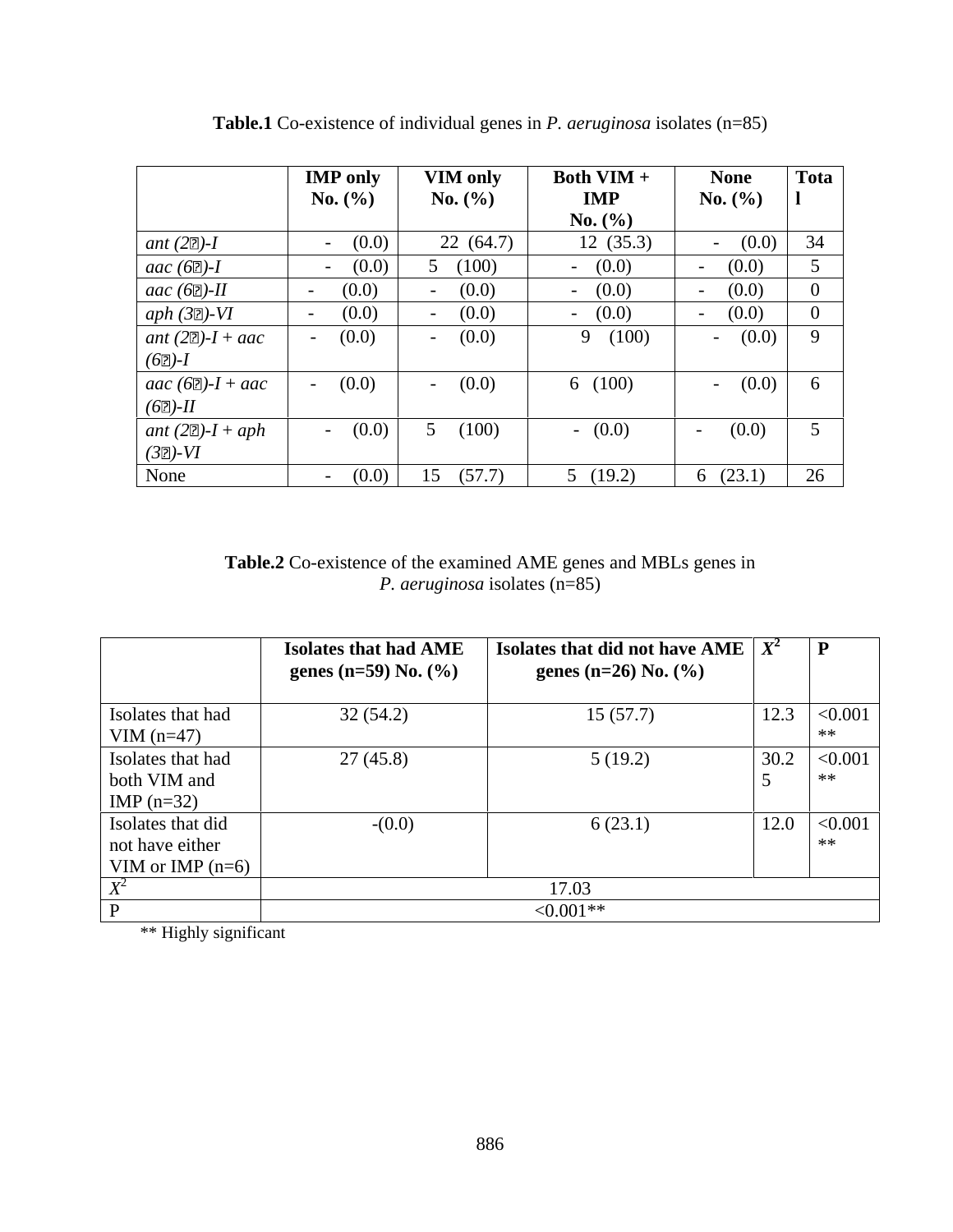|                            | <b>IMP</b> only        | <b>VIM only</b> | <b>Both VIM +</b> | <b>None</b>            | Tota        |
|----------------------------|------------------------|-----------------|-------------------|------------------------|-------------|
|                            | <b>No.</b> $(\% )$     | No. $(\% )$     | <b>IMP</b>        | <b>No.</b> $(\%)$      |             |
|                            |                        |                 | <b>No.</b> $(\%)$ |                        |             |
| ant $(2D)$ -I              | (0.0)                  | 22(64.7)        | 12(35.3)          | (0.0)                  | 34          |
| aac $(62)$ -I              | (0.0)                  | (100)           | $- (0.0)$         | (0.0)                  |             |
| aac $(62)$ -II             | (0.0)<br>$\sim$ $\sim$ | (0.0)           | $- (0.0)$         | (0.0)                  |             |
| aph $(32)-VI$              | (0.0)<br>$\sim$ $\sim$ | (0.0)<br>$\sim$ | $- (0.0)$         | (0.0)<br>$\sim$ $\sim$ | $\Omega$    |
| ant $(2D) - I + aac$       | (0.0)                  | (0.0)           | 9(100)            | (0.0)                  | $\mathbf Q$ |
| $(62)$ -I                  |                        |                 |                   |                        |             |
| $\int$ aac (62)- $I +$ aac | (0.0)                  | (0.0)           | 6(100)            | (0.0)<br>$ -$          | $\sigma$    |
| $(6D)$ - $II$              |                        |                 |                   |                        |             |
| ant $(2D) - I + aph$       | $- (0.0)$              | (100)           | (0.0)             | (0.0)<br>$\sim$ $\sim$ | $\leq$      |
| $(32)-VI$                  |                        |                 |                   |                        |             |
| None                       | (0.0)                  | 15(57.7)        | (19.2)            | 6 $(23.1)$             | 26          |

**Table.1** Co-existence of individual genes in *P. aeruginosa* isolates (n=85)

**Table.2** Co-existence of the examined AME genes and MBLs genes in *P. aeruginosa* isolates (n=85)

|                    | <b>Isolates that had AME</b><br>genes (n=59) No. $(\%)$ | Solates that did not have AME $X^2$<br>genes (n=26) No. $(\%)$ | $\mathbf{D}$     |
|--------------------|---------------------------------------------------------|----------------------------------------------------------------|------------------|
| Isolates that had  | 32(54.2)                                                | 15(57.7)                                                       | 12.3  < 0.001    |
| VIM $(n=47)$       |                                                         |                                                                | **               |
| Isolates that had  | 27(45.8)                                                | 5(19.2)                                                        | 30.2  < 0.001    |
| both VIM and       |                                                         |                                                                | **               |
| IMP $(n=32)$       |                                                         |                                                                |                  |
| Isolates that did  | $-(0.0)$                                                | 6(23.1)                                                        | $12.0 \le 0.001$ |
| not have either    |                                                         |                                                                | **               |
| VIM or IMP $(n=6)$ |                                                         |                                                                |                  |
|                    |                                                         | 17.03                                                          |                  |
|                    |                                                         | $<0.001**$                                                     |                  |

\*\* Highly significant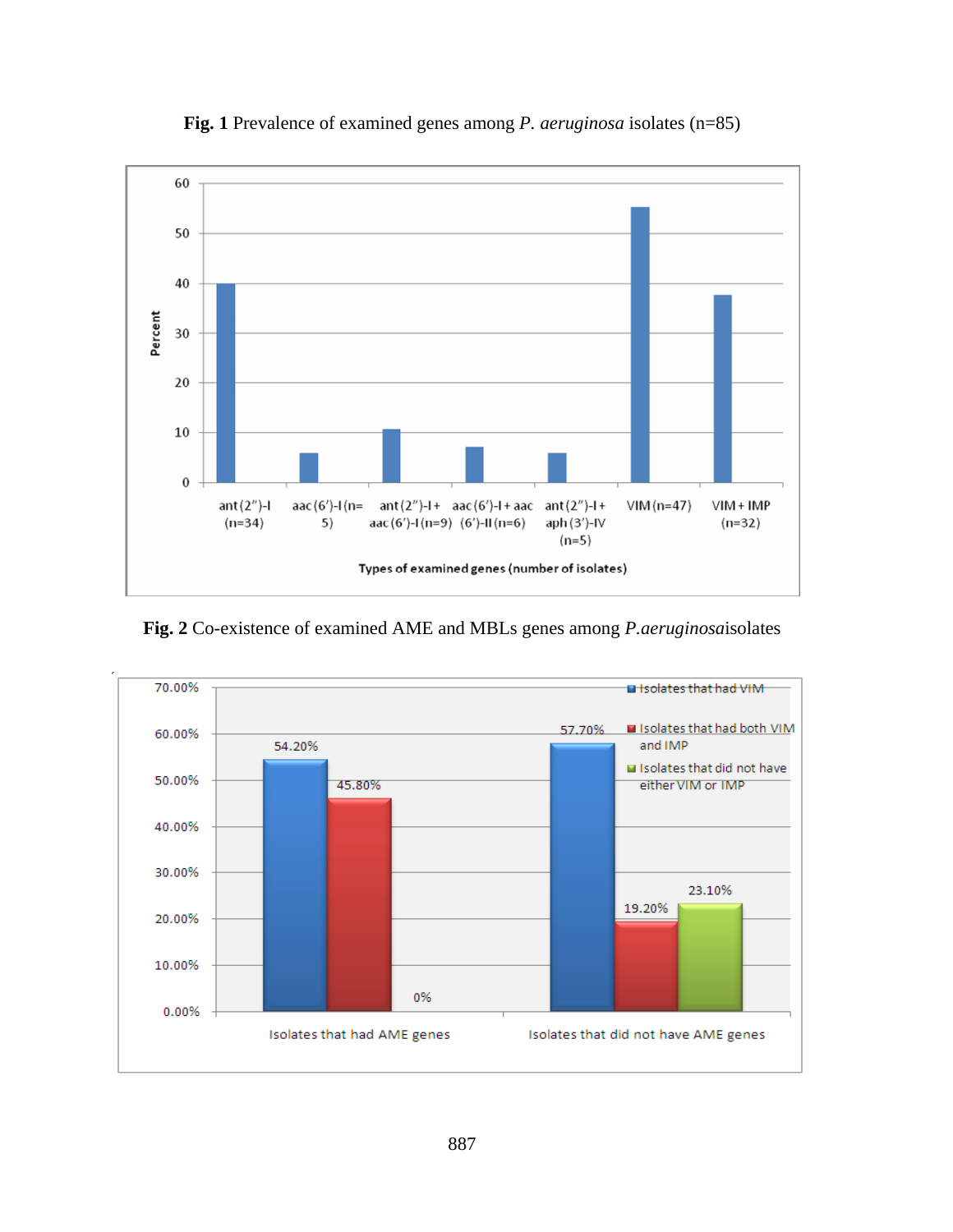

**Fig. 1** Prevalence of examined genes among *P. aeruginosa* isolates (n=85)

**Fig. 2** Co-existence of examined AME and MBLs genes among *P.aeruginosa*isolates

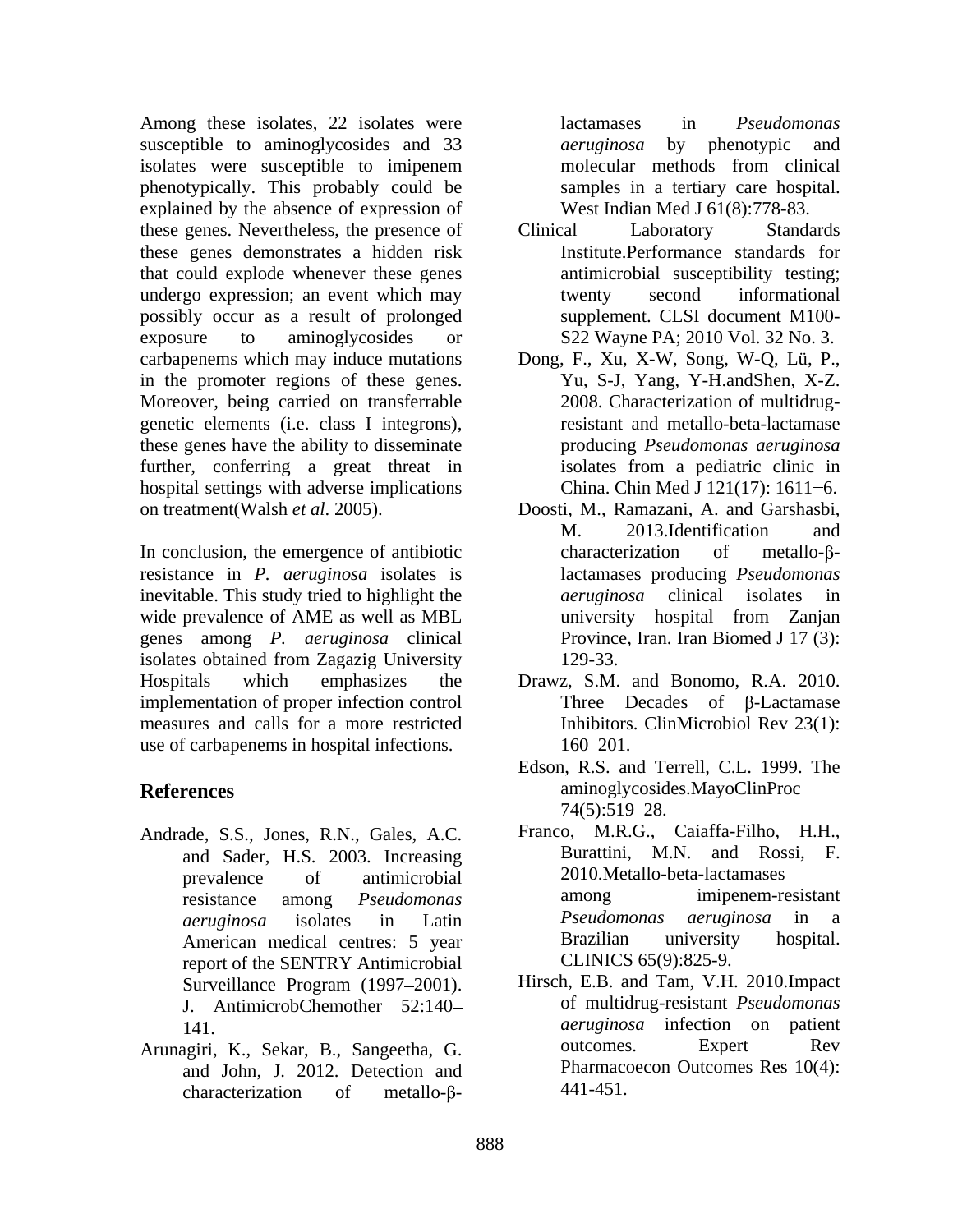Among these isolates, 22 isolates were lactamases in *Pseudomonas* susceptible to aminoglycosides and 33 *aeruginosa* by phenotypic and isolates were susceptible to imipenem phenotypically. This probably could be explained by the absence of expression of these genes. Nevertheless, the presence of these genes demonstrates a hidden risk that could explode whenever these genes undergo expression; an event which may possibly occur as a result of prolonged exposure to aminoglycosides or S22 Wayne PA; 2010 Vol. 32 No. 3. carbapenems which may induce mutations in the promoter regions of these genes. Moreover, being carried on transferrable genetic elements (i.e. class I integrons), these genes have the ability to disseminate further, conferring a great threat in isolates from a pediatric clinic in hospital settings with adverse implications on treatment(Walsh *et al*. 2005). Doosti, M., Ramazani, A. and Garshasbi,

In conclusion, the emergence of antibiotic resistance in *P. aeruginosa* isolates is inevitable. This study tried to highlight the *aeruginosa* clinical isolates in wide prevalence of AME as well as MBL university hospital from Zanjan genes among *P. aeruginosa* clinical isolates obtained from Zagazig University Hospitals which emphasizes the Drawz, S.M. and Bonomo, R.A. 2010. implementation of proper infection control measures and calls for a more restricted use of carbapenems in hospital infections.  $160-201$ .

- Andrade, S.S., Jones, R.N., Gales, A.C. and Sader, H.S. 2003. Increasing report of the SENTRY Antimicrobial J. AntimicrobChemother 52:140
- and John, J. 2012. Detection and characterization of metallo- $\beta$ - 441-451.

lactamases in *Pseudomonas aeruginosa* by phenotypic and molecular methods from clinical samples in a tertiary care hospital. West Indian Med J 61(8):778-83.

- Clinical Laboratory Standards Institute.Performance standards for antimicrobial susceptibility testing; twenty second informational supplement. CLSI document M100-
- Dong, F., Xu, X-W, Song, W-Q, Lü, P., Yu, S-J, Yang, Y-H.andShen, X-Z. 2008. Characterization of multidrugresistant and metallo-beta-lactamase producing *Pseudomonas aeruginosa* isolates from a pediatric clinic in China. Chin Med J 121(17): 1611-6.
- M. 2013.Identification and characterization of metallo- $\beta$ lactamases producing *Pseudomonas aeruginosa* clinical isolates in university hospital from Zanjan Province, Iran. Iran Biomed J 17 (3): 129-33.
- Three Decades of  $\beta$ -Lactamase Inhibitors. ClinMicrobiol Rev 23(1): 160–201.
- **References** aminoglycosides.MayoClinProc Edson, R.S. and Terrell, C.L. 1999. The  $74(5):519-28.$ 
	- prevalence of antimicrobial 2010.Metallo-beta-lactamases resistance among *Pseudomonas aeruginosa* isolates in Latin American medical centres: 5 year **Brazilian** university hospital. Franco, M.R.G., Caiaffa-Filho, H.H., Burattini, M.N. and Rossi, F. 2010.Metallo-beta-lactamases among imipenem-resistant *Pseudomonas aeruginosa* in a Brazilian university hospital. CLINICS 65(9):825-9.
- Surveillance Program (1997–2001). Hirsch, E.B. and Tam, V.H. 2010.Impact 141. *aeruginosa* infection on patient Arunagiri, K., Sekar, B., Sangeetha, G. Hirsch, E.B. and Tam, V.H. 2010.Impact of multidrug-resistant *Pseudomonas*  outcomes. Expert Rev Pharmacoecon Outcomes Res 10(4): 441-451.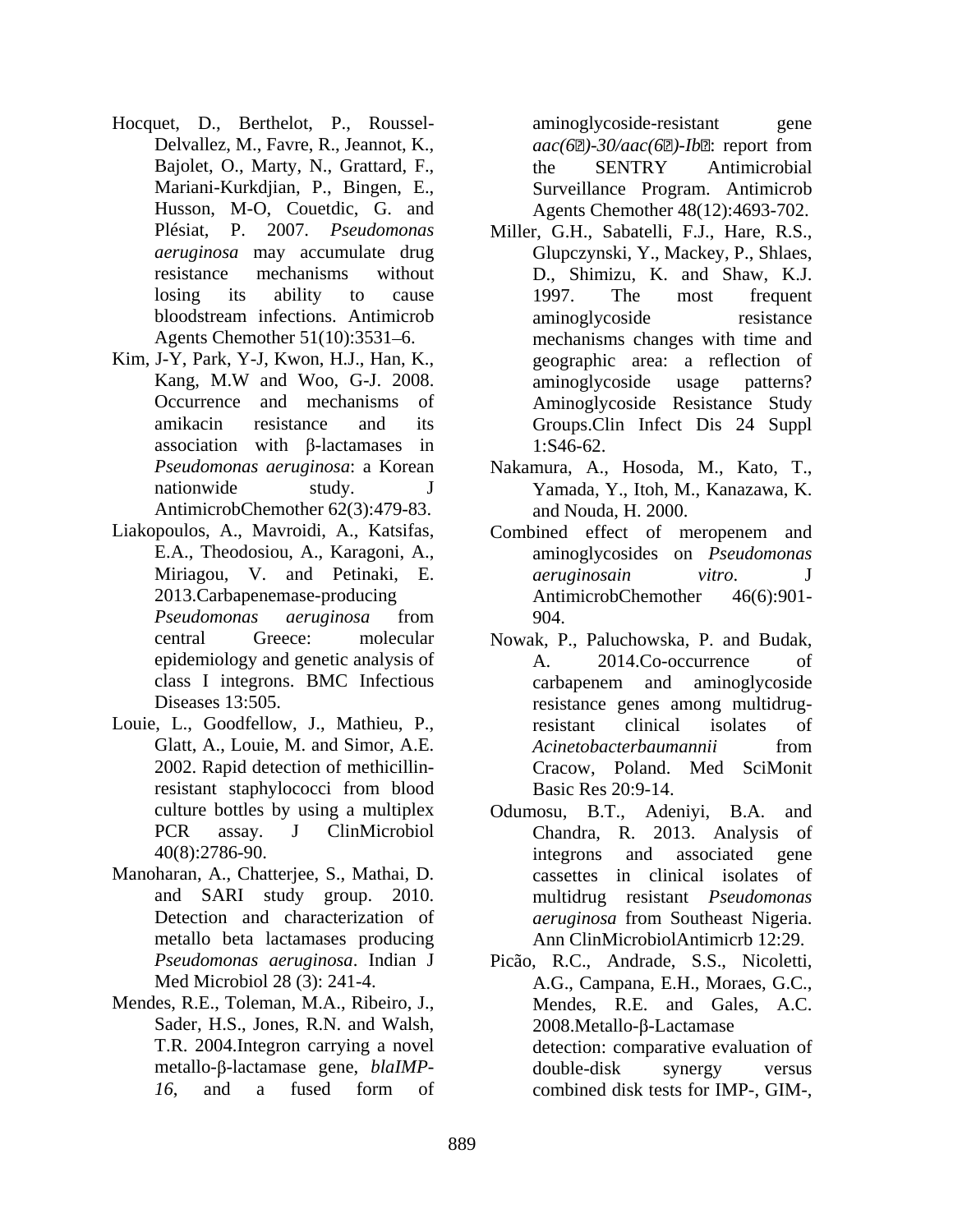- Hocquet, D., Berthelot, P., Roussel-<br>
aminoglycoside-resistant gene
- Kim, J-Y, Park, Y-J, Kwon, H.J., Han, K., association with  $\beta$ -lactamases in 1:S46-62. AntimicrobChemother 62(3):479-83.
- Liakopoulos, A., Mavroidi, A., Katsifas,
- Louie, L., Goodfellow, J., Mathieu, P., esistant clinical isolates of 2002. Rapid detection of methicillin-
- Manoharan, A., Chatterjee, S., Mathai, D. metallo beta lactamases producing
- Mendes, R.E., Toleman, M.A., Ribeiro, J., Sader, H.S., Jones, R.N. and Walsh,

Delvallez, M., Favre, R., Jeannot, K.,  $aac(62)$ -30/aac(62)-Ib2: report from Bajolet, O., Marty, N., Grattard, F., the SENTRY Antimicrobial Mariani-Kurkdjian, P., Bingen, E., Surveillance Program. Antimicrob Husson, M-O, Couetdic, G. and Agents Chemother 48(12):4693-702. aminoglycoside-resistant gene *aac(6 )-30/aac(6 )-Ib* : report from the SENTRY Antimicrobial

- Plésiat, P. 2007. *Pseudomonas*  Miller, G.H., Sabatelli, F.J., Hare, R.S., *aeruginosa* may accumulate drug Glupczynski, Y., Mackey, P., Shlaes, resistance mechanisms without D., Shimizu, K. and Shaw, K.J. losing its ability to cause 1997. The most frequent bloodstream infections. Antimicrob Agents Chemother 51(10):3531–6. mechanisms changes with time and Kang, M.W and Woo, G-J. 2008. Occurrence and mechanisms of Aminoglycoside Resistance Study amikacin resistance and its Groups.Clin Infect Dis 24 Suppl 1997. The most frequent aminoglycoside resistance geographic area: a reflection of aminoglycoside usage patterns? 1:S46-62.
- *Pseudomonas aeruginosa*: a Korean Nakamura, A., Hosoda, M., Kato, T., nationwide study. J Yamada, Y., Itoh, M., Kanazawa, K. and Nouda, H. 2000.
- E.A., Theodosiou, A., Karagoni, A., aminoglycosides on *Pseudomonas*  Miriagou, V. and Petinaki, E. 2013.Carbapenemase-producing *Pseudomonas aeruginosa* from Combined effect of meropenem and *aeruginosain vitro*. J AntimicrobChemother 904.
- central Greece: molecular Nowak, P., Paluchowska, P. and Budak, epidemiology and genetic analysis of  $A. 2014.Co-occurrence of$ class I integrons. BMC Infectious Diseases 13:505. resistance genes among multidrug-Glatt, A., Louie, M. and Simor, A.E. *Acinetobacterbaumannii* from resistant staphylococci from blood Basic Res 20:9-14. A. 2014.Co-occurrence of carbapenem and aminoglycoside resistant clinical isolates of *Acinetobacterbaumannii* from Cracow, Poland. Med SciMonit Basic Res 20:9-14.
- culture bottles by using a multiplex Odumosu, B.T., Adeniyi, B.A. and PCR assay. J ClinMicrobiol Chandra, R. 2013. Analysis of 40(8):2786-90. and SARI study group. 2010. multidrug resistant *Pseudomonas*  Detection and characterization of *aeruginosa* from Southeast Nigeria. Odumosu, B.T., Adeniyi, B.A. integrons and associated gene cassettes in clinical isolates of *aeruginosa* from Southeast Nigeria. Ann ClinMicrobiolAntimicrb 12:29.
- *Pseudomonas aeruginosa*. Indian J Picão, R.C., Andrade, S.S., Nicoletti, Med Microbiol 28 (3): 241-4. A.G., Campana, E.H., Moraes, G.C., T.R. 2004.Integron carrying a novel detection: comparative evaluation of metallo-β-lactamase gene, *blaIMP*- double-disk synergy versus 16, and a fused form of combined disk tests for IMP-, GIM-, Mendes, R.E. and Gales, A.C. 2008.Metallo-ß-Lactamase double-disk synergy versus combined disk tests for IMP-, GIM-,